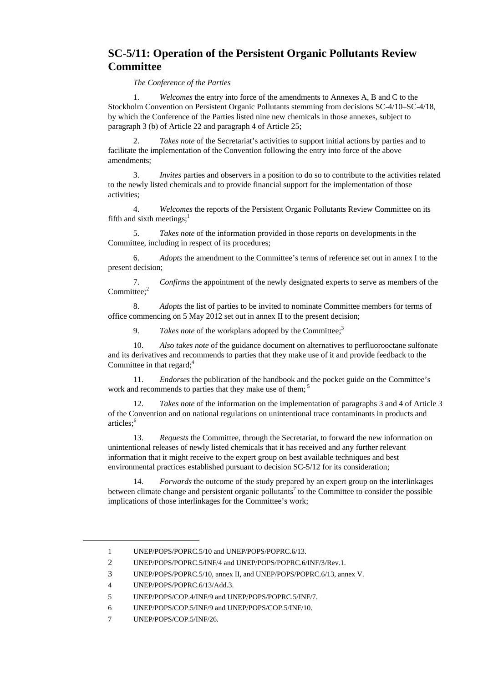## **SC-5/11: Operation of the Persistent Organic Pollutants Review Committee**

*The Conference of the Parties*

1. *Welcomes* the entry into force of the amendments to Annexes A, B and C to the Stockholm Convention on Persistent Organic Pollutants stemming from decisions SC-4/10–SC-4/18, by which the Conference of the Parties listed nine new chemicals in those annexes, subject to paragraph 3 (b) of Article 22 and paragraph 4 of Article 25;

2. *Takes note* of the Secretariat's activities to support initial actions by parties and to facilitate the implementation of the Convention following the entry into force of the above amendments;

3. *Invites* parties and observers in a position to do so to contribute to the activities related to the newly listed chemicals and to provide financial support for the implementation of those activities;

4. *Welcomes* the reports of the Persistent Organic Pollutants Review Committee on its fifth and sixth meetings: $<sup>1</sup>$ </sup>

5. *Takes note* of the information provided in those reports on developments in the Committee, including in respect of its procedures;

6. *Adopts* the amendment to the Committee's terms of reference set out in annex I to the present decision;

7. *Confirms* the appointment of the newly designated experts to serve as members of the Committee<sup>2</sup>

8. *Adopts* the list of parties to be invited to nominate Committee members for terms of office commencing on 5 May 2012 set out in annex II to the present decision;

9. *Takes note* of the workplans adopted by the Committee;<sup>3</sup>

10. *Also takes note* of the guidance document on alternatives to perfluorooctane sulfonate and its derivatives and recommends to parties that they make use of it and provide feedback to the Committee in that regard; $4$ 

11. *Endorses* the publication of the handbook and the pocket guide on the Committee's work and recommends to parties that they make use of them;<sup>5</sup>

12. *Takes note* of the information on the implementation of paragraphs 3 and 4 of Article 3 of the Convention and on national regulations on unintentional trace contaminants in products and articles:<sup>6</sup>

13. *Requests* the Committee, through the Secretariat, to forward the new information on unintentional releases of newly listed chemicals that it has received and any further relevant information that it might receive to the expert group on best available techniques and best environmental practices established pursuant to decision SC-5/12 for its consideration;

14. *Forwards* the outcome of the study prepared by an expert group on the interlinkages between climate change and persistent organic pollutants<sup>7</sup> to the Committee to consider the possible implications of those interlinkages for the Committee's work;

 $\overline{a}$ 

<sup>1</sup> UNEP/POPS/POPRC.5/10 and UNEP/POPS/POPRC.6/13.

<sup>2</sup> UNEP/POPS/POPRC.5/INF/4 and UNEP/POPS/POPRC.6/INF/3/Rev.1.

<sup>3</sup> UNEP/POPS/POPRC.5/10, annex II, and UNEP/POPS/POPRC.6/13, annex V.

<sup>4</sup> UNEP/POPS/POPRC.6/13/Add.3.

<sup>5</sup> UNEP/POPS/COP.4/INF/9 and UNEP/POPS/POPRC.5/INF/7.

<sup>6</sup> UNEP/POPS/COP.5/INF/9 and UNEP/POPS/COP.5/INF/10.

<sup>7</sup> UNEP/POPS/COP.5/INF/26.